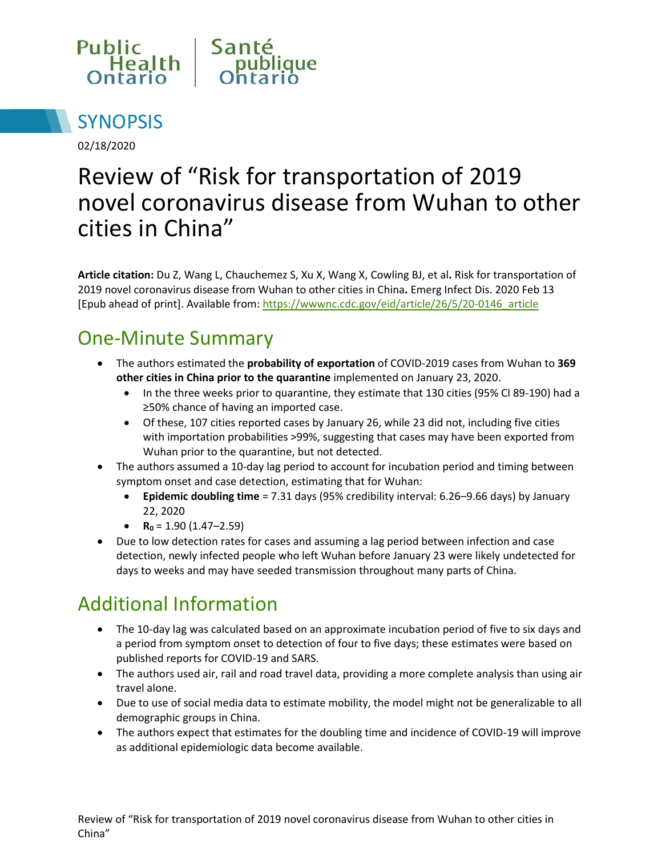



02/18/2020

# Review of "Risk for transportation of 2019 novel coronavirus disease from Wuhan to other cities in China"

**Article citation:** Du Z, Wang L, Chauchemez S, Xu X, Wang X, Cowling BJ, et al**.** Risk for transportation of 2019 novel coronavirus disease from Wuhan to other cities in China**.** Emerg Infect Dis. 2020 Feb 13 [Epub ahead of print]. Available from: [https://wwwnc.cdc.gov/eid/article/26/5/20-0146\\_article](https://wwwnc.cdc.gov/eid/article/26/5/20-0146_article)

### One-Minute Summary

- The authors estimated the **probability of exportation** of COVID-2019 cases from Wuhan to **369 other cities in China prior to the quarantine** implemented on January 23, 2020.
	- In the three weeks prior to quarantine, they estimate that 130 cities (95% CI 89-190) had a ≥50% chance of having an imported case.
	- Of these, 107 cities reported cases by January 26, while 23 did not, including five cities with importation probabilities >99%, suggesting that cases may have been exported from Wuhan prior to the quarantine, but not detected.
- The authors assumed a 10-day lag period to account for incubation period and timing between symptom onset and case detection, estimating that for Wuhan:
	- **Epidemic doubling time** = 7.31 days (95% credibility interval: 6.26–9.66 days) by January 22, 2020
	- **R**<sub>0</sub> = 1.90 (1.47–2.59)
- Due to low detection rates for cases and assuming a lag period between infection and case detection, newly infected people who left Wuhan before January 23 were likely undetected for days to weeks and may have seeded transmission throughout many parts of China.

## Additional Information

- The 10-day lag was calculated based on an approximate incubation period of five to six days and a period from symptom onset to detection of four to five days; these estimates were based on published reports for COVID-19 and SARS.
- The authors used air, rail and road travel data, providing a more complete analysis than using air travel alone.
- Due to use of social media data to estimate mobility, the model might not be generalizable to all demographic groups in China.
- The authors expect that estimates for the doubling time and incidence of COVID-19 will improve as additional epidemiologic data become available.